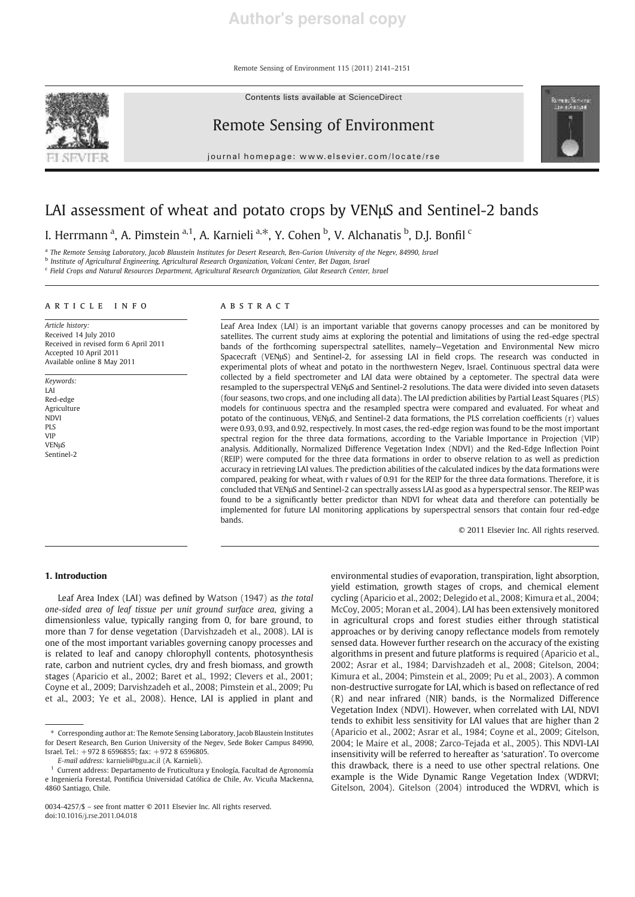Remote Sensing of Environment 115 (2011) 2141–2151

Contents lists available at ScienceDirect



# Remote Sensing of Environment

journal homenage: www.elsevier.com/locate/rse



# LAI assessment of wheat and potato crops by VENμS and Sentinel-2 bands

I. Herrmann<sup>a</sup>, A. Pimstein<sup>a, 1</sup>, A. Karnieli<sup>a,\*</sup>, Y. Cohen <sup>b</sup>, V. Alchanatis <sup>b</sup>, D.J. Bonfil <sup>c</sup>

a *The Remote Sensing Laboratory, Jacob Blaustein Institutes for Desert Research, Ben-Gurion University of the Negev, 84990, Israel*

b *Institute of Agricultural Engineering, Agricultural Research Organization, Volcani Center, Bet Dagan, Israel*

c *Field Crops and Natural Resources Department, Agricultural Research Organization, Gilat Research Center, Israel*

#### article info abstract

*Article history:* Received 14 July 2010 Received in revised form 6 April 2011 Accepted 10 April 2011 Available online 8 May 2011

*Keywords:* LAI Red-edge Agriculture **NDVI** PLS VIP VENμS Sentinel-2

Leaf Area Index (LAI) is an important variable that governs canopy processes and can be monitored by satellites. The current study aims at exploring the potential and limitations of using the red-edge spectral bands of the forthcoming superspectral satellites, namely—Vegetation and Environmental New micro Spacecraft (VENμS) and Sentinel-2, for assessing LAI in field crops. The research was conducted in experimental plots of wheat and potato in the northwestern Negev, Israel. Continuous spectral data were collected by a field spectrometer and LAI data were obtained by a ceptometer. The spectral data were resampled to the superspectral VENμS and Sentinel-2 resolutions. The data were divided into seven datasets (four seasons, two crops, and one including all data). The LAI prediction abilities by Partial Least Squares (PLS) models for continuous spectra and the resampled spectra were compared and evaluated. For wheat and potato of the continuous, VENμS, and Sentinel-2 data formations, the PLS correlation coefficients (r) values were 0.93, 0.93, and 0.92, respectively. In most cases, the red-edge region was found to be the most important spectral region for the three data formations, according to the Variable Importance in Projection (VIP) analysis. Additionally, Normalized Difference Vegetation Index (NDVI) and the Red-Edge Inflection Point (REIP) were computed for the three data formations in order to observe relation to as well as prediction accuracy in retrieving LAI values. The prediction abilities of the calculated indices by the data formations were compared, peaking for wheat, with r values of 0.91 for the REIP for the three data formations. Therefore, it is concluded that VENμS and Sentinel-2 can spectrally assess LAI as good as a hyperspectral sensor. The REIP was found to be a significantly better predictor than NDVI for wheat data and therefore can potentially be implemented for future LAI monitoring applications by superspectral sensors that contain four red-edge bands.

© 2011 Elsevier Inc. All rights reserved.

# 1. Introduction

Leaf Area Index (LAI) was defined by Watson (1947) as *the total one-sided area of leaf tissue per unit ground surface area*, giving a dimensionless value, typically ranging from 0, for bare ground, to more than 7 for dense vegetation (Darvishzadeh et al., 2008). LAI is one of the most important variables governing canopy processes and is related to leaf and canopy chlorophyll contents, photosynthesis rate, carbon and nutrient cycles, dry and fresh biomass, and growth stages (Aparicio et al., 2002; Baret et al., 1992; Clevers et al., 2001; Coyne et al., 2009; Darvishzadeh et al., 2008; Pimstein et al., 2009; Pu et al., 2003; Ye et al., 2008). Hence, LAI is applied in plant and environmental studies of evaporation, transpiration, light absorption, yield estimation, growth stages of crops, and chemical element cycling (Aparicio et al., 2002; Delegido et al., 2008; Kimura et al., 2004; McCoy, 2005; Moran et al., 2004). LAI has been extensively monitored in agricultural crops and forest studies either through statistical approaches or by deriving canopy reflectance models from remotely sensed data. However further research on the accuracy of the existing algorithms in present and future platforms is required (Aparicio et al., 2002; Asrar et al., 1984; Darvishzadeh et al., 2008; Gitelson, 2004; Kimura et al., 2004; Pimstein et al., 2009; Pu et al., 2003). A common non-destructive surrogate for LAI, which is based on reflectance of red (R) and near infrared (NIR) bands, is the Normalized Difference Vegetation Index (NDVI). However, when correlated with LAI, NDVI tends to exhibit less sensitivity for LAI values that are higher than 2 (Aparicio et al., 2002; Asrar et al., 1984; Coyne et al., 2009; Gitelson, 2004; le Maire et al., 2008; Zarco-Tejada et al., 2005). This NDVI-LAI insensitivity will be referred to hereafter as 'saturation'. To overcome this drawback, there is a need to use other spectral relations. One example is the Wide Dynamic Range Vegetation Index (WDRVI; Gitelson, 2004). Gitelson (2004) introduced the WDRVI, which is

<sup>⁎</sup> Corresponding author at: The Remote Sensing Laboratory, Jacob Blaustein Institutes for Desert Research, Ben Gurion University of the Negev, Sede Boker Campus 84990, Israel. Tel.: +972 8 6596855; fax: +972 8 6596805.

*E-mail address:* karnieli@bgu.ac.il (A. Karnieli).

<sup>&</sup>lt;sup>1</sup> Current address: Departamento de Fruticultura y Enología, Facultad de Agronomía e Ingeniería Forestal, Pontificia Universidad Católica de Chile, Av. Vicuña Mackenna, 4860 Santiago, Chile.

<sup>0034-4257/\$</sup> – see front matter © 2011 Elsevier Inc. All rights reserved. doi:10.1016/j.rse.2011.04.018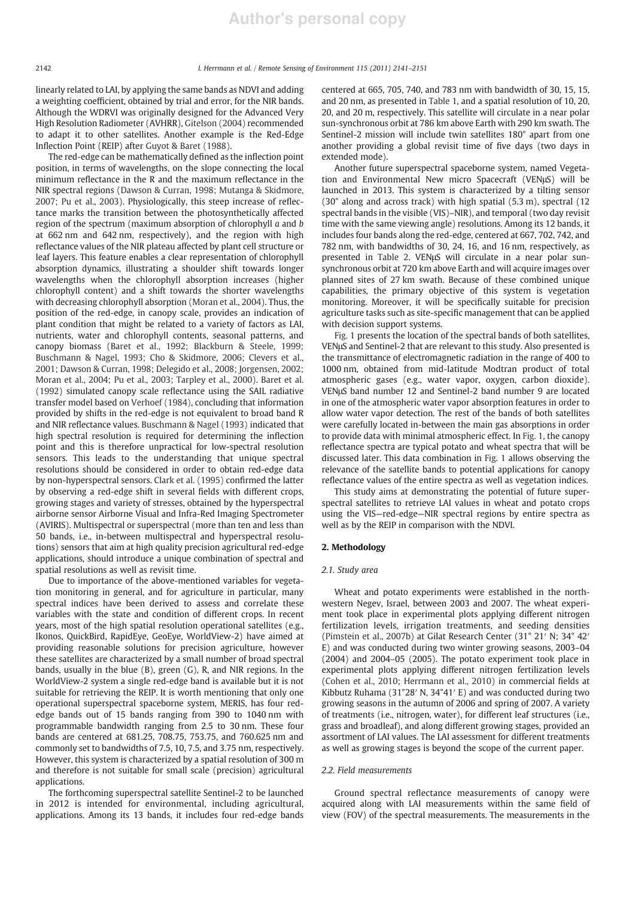linearly related to LAI, by applying the same bands as NDVI and adding a weighting coefficient, obtained by trial and error, for the NIR bands. Although the WDRVI was originally designed for the Advanced Very High Resolution Radiometer (AVHRR), Gitelson (2004) recommended to adapt it to other satellites. Another example is the Red-Edge Inflection Point (REIP) after Guyot & Baret (1988).

The red-edge can be mathematically defined as the inflection point position, in terms of wavelengths, on the slope connecting the local minimum reflectance in the R and the maximum reflectance in the NIR spectral regions (Dawson & Curran, 1998; Mutanga & Skidmore, 2007; Pu et al., 2003). Physiologically, this steep increase of reflectance marks the transition between the photosynthetically affected region of the spectrum (maximum absorption of chlorophyll *a* and *b* at 662 nm and 642 nm, respectively), and the region with high reflectance values of the NIR plateau affected by plant cell structure or leaf layers. This feature enables a clear representation of chlorophyll absorption dynamics, illustrating a shoulder shift towards longer wavelengths when the chlorophyll absorption increases (higher chlorophyll content) and a shift towards the shorter wavelengths with decreasing chlorophyll absorption (Moran et al., 2004). Thus, the position of the red-edge, in canopy scale, provides an indication of plant condition that might be related to a variety of factors as LAI, nutrients, water and chlorophyll contents, seasonal patterns, and canopy biomass (Baret et al., 1992; Blackburn & Steele, 1999; Buschmann & Nagel, 1993; Cho & Skidmore, 2006; Clevers et al., 2001; Dawson & Curran, 1998; Delegido et al., 2008; Jorgensen, 2002; Moran et al., 2004; Pu et al., 2003; Tarpley et al., 2000). Baret et al. (1992) simulated canopy scale reflectance using the SAIL radiative transfer model based on Verhoef (1984), concluding that information provided by shifts in the red-edge is not equivalent to broad band R and NIR reflectance values. Buschmann & Nagel (1993) indicated that high spectral resolution is required for determining the inflection point and this is therefore unpractical for low-spectral resolution sensors. This leads to the understanding that unique spectral resolutions should be considered in order to obtain red-edge data by non-hyperspectral sensors. Clark et al. (1995) confirmed the latter by observing a red-edge shift in several fields with different crops, growing stages and variety of stresses, obtained by the hyperspectral airborne sensor Airborne Visual and Infra-Red Imaging Spectrometer (AVIRIS). Multispectral or superspectral (more than ten and less than 50 bands, i.e., in-between multispectral and hyperspectral resolutions) sensors that aim at high quality precision agricultural red-edge applications, should introduce a unique combination of spectral and spatial resolutions as well as revisit time.

Due to importance of the above-mentioned variables for vegetation monitoring in general, and for agriculture in particular, many spectral indices have been derived to assess and correlate these variables with the state and condition of different crops. In recent years, most of the high spatial resolution operational satellites (e.g., Ikonos, QuickBird, RapidEye, GeoEye, WorldView-2) have aimed at providing reasonable solutions for precision agriculture, however these satellites are characterized by a small number of broad spectral bands, usually in the blue (B), green (G), R, and NIR regions. In the WorldView-2 system a single red-edge band is available but it is not suitable for retrieving the REIP. It is worth mentioning that only one operational superspectral spaceborne system, MERIS, has four rededge bands out of 15 bands ranging from 390 to 1040 nm with programmable bandwidth ranging from 2.5 to 30 nm. These four bands are centered at 681.25, 708.75, 753.75, and 760.625 nm and commonly set to bandwidths of 7.5, 10, 7.5, and 3.75 nm, respectively. However, this system is characterized by a spatial resolution of 300 m and therefore is not suitable for small scale (precision) agricultural applications.

The forthcoming superspectral satellite Sentinel-2 to be launched in 2012 is intended for environmental, including agricultural, applications. Among its 13 bands, it includes four red-edge bands centered at 665, 705, 740, and 783 nm with bandwidth of 30, 15, 15, and 20 nm, as presented in Table 1, and a spatial resolution of 10, 20, 20, and 20 m, respectively. This satellite will circulate in a near polar sun-synchronous orbit at 786 km above Earth with 290 km swath. The Sentinel-2 mission will include twin satellites 180° apart from one another providing a global revisit time of five days (two days in extended mode).

Another future superspectral spaceborne system, named Vegetation and Environmental New micro Spacecraft (VENμS) will be launched in 2013. This system is characterized by a tilting sensor (30° along and across track) with high spatial (5.3 m), spectral (12 spectral bands in the visible (VIS)–NIR), and temporal (two day revisit time with the same viewing angle) resolutions. Among its 12 bands, it includes four bands along the red-edge, centered at 667, 702, 742, and 782 nm, with bandwidths of 30, 24, 16, and 16 nm, respectively, as presented in Table 2. VENμS will circulate in a near polar sunsynchronous orbit at 720 km above Earth and will acquire images over planned sites of 27 km swath. Because of these combined unique capabilities, the primary objective of this system is vegetation monitoring. Moreover, it will be specifically suitable for precision agriculture tasks such as site-specific management that can be applied with decision support systems.

Fig. 1 presents the location of the spectral bands of both satellites, VENμS and Sentinel-2 that are relevant to this study. Also presented is the transmittance of electromagnetic radiation in the range of 400 to 1000 nm, obtained from mid-latitude Modtran product of total atmospheric gases (e.g., water vapor, oxygen, carbon dioxide). VENμS band number 12 and Sentinel-2 band number 9 are located in one of the atmospheric water vapor absorption features in order to allow water vapor detection. The rest of the bands of both satellites were carefully located in-between the main gas absorptions in order to provide data with minimal atmospheric effect. In Fig. 1, the canopy reflectance spectra are typical potato and wheat spectra that will be discussed later. This data combination in Fig. 1 allows observing the relevance of the satellite bands to potential applications for canopy reflectance values of the entire spectra as well as vegetation indices.

This study aims at demonstrating the potential of future superspectral satellites to retrieve LAI values in wheat and potato crops using the VIS—red-edge—NIR spectral regions by entire spectra as well as by the REIP in comparison with the NDVI.

# 2. Methodology

# *2.1. Study area*

Wheat and potato experiments were established in the northwestern Negev, Israel, between 2003 and 2007. The wheat experiment took place in experimental plots applying different nitrogen fertilization levels, irrigation treatments, and seeding densities (Pimstein et al., 2007b) at Gilat Research Center (31° 21′ N; 34° 42′ E) and was conducted during two winter growing seasons, 2003–04 (2004) and 2004–05 (2005). The potato experiment took place in experimental plots applying different nitrogen fertilization levels (Cohen et al., 2010; Herrmann et al., 2010) in commercial fields at Kibbutz Ruhama (31°28′ N, 34°41′ E) and was conducted during two growing seasons in the autumn of 2006 and spring of 2007. A variety of treatments (i.e., nitrogen, water), for different leaf structures (i.e., grass and broadleaf), and along different growing stages, provided an assortment of LAI values. The LAI assessment for different treatments as well as growing stages is beyond the scope of the current paper.

# *2.2. Field measurements*

Ground spectral reflectance measurements of canopy were acquired along with LAI measurements within the same field of view (FOV) of the spectral measurements. The measurements in the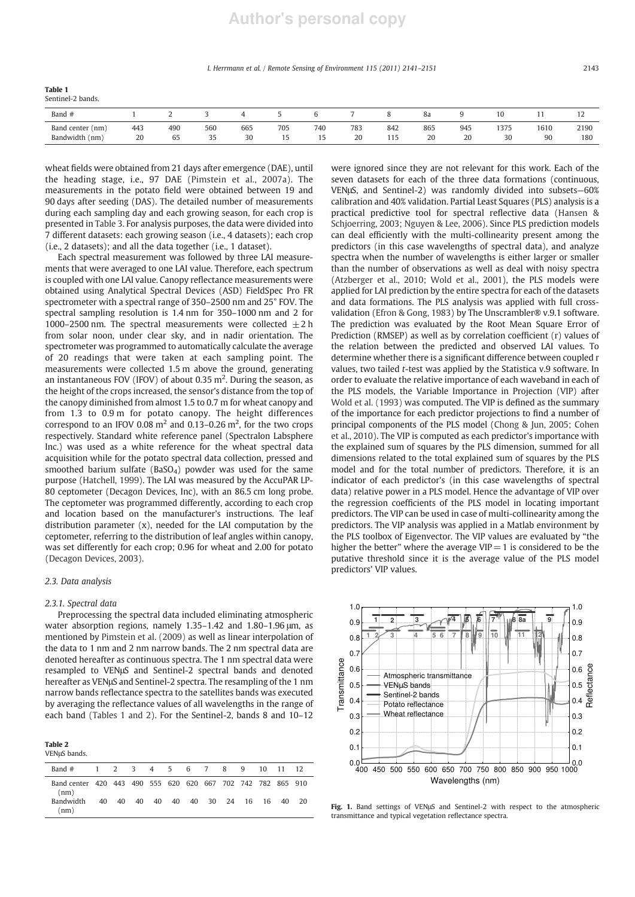#### *I. Herrmann et al. / Remote Sensing of Environment 115 (2011) 2141*–*2151* 2143

| а<br>---- | ורו<br>r<br>$\sim$ |  |  |
|-----------|--------------------|--|--|
|           |                    |  |  |

| Sentinel-2 bands. |  |  |  |
|-------------------|--|--|--|
|-------------------|--|--|--|

| Band #                 |     |                        |                                    |            |     |     |     |                                        | 0d<br>$\sim$ $\sim$ |                      |              |              | $\overline{ }$ |
|------------------------|-----|------------------------|------------------------------------|------------|-----|-----|-----|----------------------------------------|---------------------|----------------------|--------------|--------------|----------------|
| Band<br>center<br>(mm) | 443 | 490                    | 560<br>.                           | 665<br>___ | 705 | 740 | 783 | 842<br>the contract of the contract of | 865<br>.            | 945<br>$\sim$ $\sim$ | 1375         | 1610         | 2190<br>____   |
| Bandwidth<br>(nm)      | 20  | $\sim$<br>65<br>$\sim$ | $\sim$ $-$<br>ر ر<br>$\sim$ $\sim$ | 30         |     |     | 20  | 11 <sup>F</sup><br>$11 -$              | 20                  | $\Omega$<br>zu       | 30<br>$\sim$ | 90<br>$\sim$ | 180            |

wheat fields were obtained from 21 days after emergence (DAE), until the heading stage, i.e., 97 DAE (Pimstein et al., 2007a). The measurements in the potato field were obtained between 19 and 90 days after seeding (DAS). The detailed number of measurements during each sampling day and each growing season, for each crop is presented in Table 3. For analysis purposes, the data were divided into 7 different datasets: each growing season (i.e., 4 datasets); each crop (i.e., 2 datasets); and all the data together (i.e., 1 dataset).

Each spectral measurement was followed by three LAI measurements that were averaged to one LAI value. Therefore, each spectrum is coupled with one LAI value. Canopy reflectance measurements were obtained using Analytical Spectral Devices (ASD) FieldSpec Pro FR spectrometer with a spectral range of 350–2500 nm and 25° FOV. The spectral sampling resolution is 1.4 nm for 350–1000 nm and 2 for 1000–2500 nm. The spectral measurements were collected  $\pm 2$  h from solar noon, under clear sky, and in nadir orientation. The spectrometer was programmed to automatically calculate the average of 20 readings that were taken at each sampling point. The measurements were collected 1.5 m above the ground, generating an instantaneous FOV (IFOV) of about 0.35  $m^2$ . During the season, as the height of the crops increased, the sensor's distance from the top of the canopy diminished from almost 1.5 to 0.7 m for wheat canopy and from 1.3 to 0.9 m for potato canopy. The height differences correspond to an IFOV 0.08  $m<sup>2</sup>$  and 0.13–0.26  $m<sup>2</sup>$ , for the two crops respectively. Standard white reference panel (Spectralon Labsphere Inc.) was used as a white reference for the wheat spectral data acquisition while for the potato spectral data collection, pressed and smoothed barium sulfate (BaSO<sub>4</sub>) powder was used for the same purpose (Hatchell, 1999). The LAI was measured by the AccuPAR LP-80 ceptometer (Decagon Devices, Inc), with an 86.5 cm long probe. The ceptometer was programmed differently, according to each crop and location based on the manufacturer's instructions. The leaf distribution parameter (x), needed for the LAI computation by the ceptometer, referring to the distribution of leaf angles within canopy, was set differently for each crop; 0.96 for wheat and 2.00 for potato (Decagon Devices, 2003).

# *2.3. Data analysis*

### *2.3.1. Spectral data*

Preprocessing the spectral data included eliminating atmospheric water absorption regions, namely 1.35–1.42 and 1.80–1.96 μm, as mentioned by Pimstein et al. (2009) as well as linear interpolation of the data to 1 nm and 2 nm narrow bands. The 2 nm spectral data are denoted hereafter as continuous spectra. The 1 nm spectral data were resampled to VENμS and Sentinel-2 spectral bands and denoted hereafter as VENμS and Sentinel-2 spectra. The resampling of the 1 nm narrow bands reflectance spectra to the satellites bands was executed by averaging the reflectance values of all wavelengths in the range of each band (Tables 1 and 2). For the Sentinel-2, bands 8 and 10–12

Table 2 VENμS bands.

| 1.21                                                                |    |    |  |                               |  |  |          |  |
|---------------------------------------------------------------------|----|----|--|-------------------------------|--|--|----------|--|
| Band #                                                              |    |    |  | 1 2 3 4 5 6 7 8 9             |  |  | 10 11 12 |  |
| Band center 420 443 490 555 620 620 667 702 742 782 865 910<br>(nm) |    |    |  |                               |  |  |          |  |
| <b>Bandwidth</b><br>(nm)                                            | 40 | 40 |  | 40 40 40 40 30 24 16 16 40 20 |  |  |          |  |

were ignored since they are not relevant for this work. Each of the seven datasets for each of the three data formations (continuous, VENμS, and Sentinel-2) was randomly divided into subsets—60% calibration and 40% validation. Partial Least Squares (PLS) analysis is a practical predictive tool for spectral reflective data (Hansen & Schjoerring, 2003; Nguyen & Lee, 2006). Since PLS prediction models can deal efficiently with the multi-collinearity present among the predictors (in this case wavelengths of spectral data), and analyze spectra when the number of wavelengths is either larger or smaller than the number of observations as well as deal with noisy spectra (Atzberger et al., 2010; Wold et al., 2001), the PLS models were applied for LAI prediction by the entire spectra for each of the datasets and data formations. The PLS analysis was applied with full crossvalidation (Efron & Gong, 1983) by The Unscrambler® v.9.1 software. The prediction was evaluated by the Root Mean Square Error of Prediction (RMSEP) as well as by correlation coefficient (r) values of the relation between the predicted and observed LAI values. To determine whether there is a significant difference between coupled r values, two tailed *t*-test was applied by the Statistica v.9 software. In order to evaluate the relative importance of each waveband in each of the PLS models, the Variable Importance in Projection (VIP) after Wold et al. (1993) was computed. The VIP is defined as the summary of the importance for each predictor projections to find a number of principal components of the PLS model (Chong & Jun, 2005; Cohen et al., 2010). The VIP is computed as each predictor's importance with the explained sum of squares by the PLS dimension, summed for all dimensions related to the total explained sum of squares by the PLS model and for the total number of predictors. Therefore, it is an indicator of each predictor's (in this case wavelengths of spectral data) relative power in a PLS model. Hence the advantage of VIP over the regression coefficients of the PLS model in locating important predictors. The VIP can be used in case of multi-collinearity among the predictors. The VIP analysis was applied in a Matlab environment by the PLS toolbox of Eigenvector. The VIP values are evaluated by "the higher the better" where the average  $VIP=1$  is considered to be the putative threshold since it is the average value of the PLS model predictors' VIP values.



Fig. 1. Band settings of VENμS and Sentinel-2 with respect to the atmospheric transmittance and typical vegetation reflectance spectra.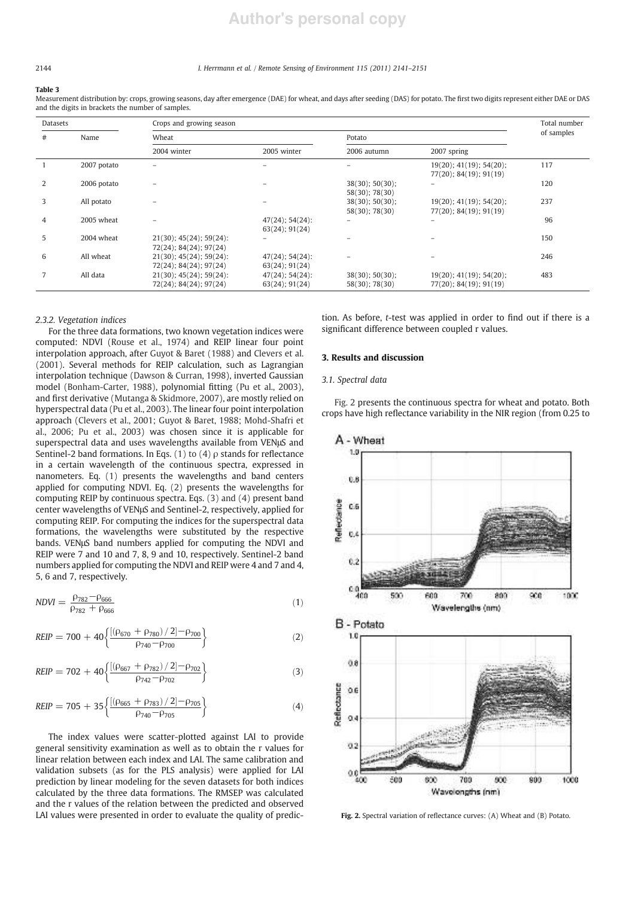# **Author's personal copy**

# 2144 *I. Herrmann et al. / Remote Sensing of Environment 115 (2011) 2141*–*2151*

#### Table 3

Measurement distribution by: crops, growing seasons, day after emergence (DAE) for wheat, and days after seeding (DAS) for potato. The first two digits represent either DAE or DAS and the digits in brackets the number of samples.

| <b>Datasets</b> |             | Crops and growing season                          |                                            |                                   |                                                      | Total number |  |
|-----------------|-------------|---------------------------------------------------|--------------------------------------------|-----------------------------------|------------------------------------------------------|--------------|--|
| #               | Name        | Wheat                                             |                                            | Potato                            | of samples                                           |              |  |
|                 |             | 2004 winter                                       | 2005 winter                                | 2006 autumn                       | 2007 spring                                          |              |  |
|                 | 2007 potato | -                                                 |                                            |                                   | 19(20); 41(19); 54(20);<br>$77(20)$ ; 84(19); 91(19) | 117          |  |
| 2               | 2006 potato |                                                   |                                            | 38(30); 50(30);<br>58(30); 78(30) |                                                      | 120          |  |
| 3               | All potato  |                                                   |                                            | 38(30); 50(30);<br>58(30); 78(30) | 19(20); 41(19); 54(20);<br>$77(20)$ ; 84(19); 91(19) | 237          |  |
| 4               | 2005 wheat  |                                                   | $47(24)$ ; 54(24);<br>$63(24)$ ; 91 $(24)$ | $\overline{\phantom{0}}$          | ۰                                                    | 96           |  |
| 5               | 2004 wheat  | 21(30); 45(24); 59(24):<br>72(24); 84(24); 97(24) |                                            |                                   |                                                      | 150          |  |
| 6               | All wheat   | 21(30); 45(24); 59(24):<br>72(24); 84(24); 97(24) | $47(24)$ ; 54(24):<br>63(24); 91(24)       |                                   |                                                      | 246          |  |
| 7               | All data    | 21(30); 45(24); 59(24):<br>72(24); 84(24); 97(24) | $47(24)$ ; 54(24):<br>$63(24)$ ; 91 $(24)$ | 38(30); 50(30);<br>58(30); 78(30) | 19(20); 41(19); 54(20);<br>77(20); 84(19); 91(19)    | 483          |  |

# *2.3.2. Vegetation indices*

For the three data formations, two known vegetation indices were computed: NDVI (Rouse et al., 1974) and REIP linear four point interpolation approach, after Guyot & Baret (1988) and Clevers et al. (2001). Several methods for REIP calculation, such as Lagrangian interpolation technique (Dawson & Curran, 1998), inverted Gaussian model (Bonham-Carter, 1988), polynomial fitting (Pu et al., 2003), and first derivative (Mutanga & Skidmore, 2007), are mostly relied on hyperspectral data (Pu et al., 2003). The linear four point interpolation approach (Clevers et al., 2001; Guyot & Baret, 1988; Mohd-Shafri et al., 2006; Pu et al., 2003) was chosen since it is applicable for superspectral data and uses wavelengths available from VENμS and Sentinel-2 band formations. In Eqs. (1) to (4)  $\rho$  stands for reflectance in a certain wavelength of the continuous spectra, expressed in nanometers. Eq. (1) presents the wavelengths and band centers applied for computing NDVI. Eq. (2) presents the wavelengths for computing REIP by continuous spectra. Eqs. (3) and (4) present band center wavelengths of VENμS and Sentinel-2, respectively, applied for computing REIP. For computing the indices for the superspectral data formations, the wavelengths were substituted by the respective bands. VENμS band numbers applied for computing the NDVI and REIP were 7 and 10 and 7, 8, 9 and 10, respectively. Sentinel-2 band numbers applied for computing the NDVI and REIP were 4 and 7 and 4, 5, 6 and 7, respectively.

$$
NDVI = \frac{\rho_{782} - \rho_{666}}{\rho_{782} + \rho_{666}}\tag{1}
$$

$$
REIP = 700 + 40 \left\{ \frac{\left[ (\rho_{670} + \rho_{780}) / 2 \right] - \rho_{700}}{\rho_{740} - \rho_{700}} \right\} \tag{2}
$$

$$
REIP = 702 + 40 \left\{ \frac{\left[ (\rho_{667} + \rho_{782}) / 2 \right] - \rho_{702}}{\rho_{742} - \rho_{702}} \right\}
$$
(3)

$$
REIP = 705 + 35 \left\{ \frac{[(\rho_{665} + \rho_{783})/2] - \rho_{705}}{\rho_{740} - \rho_{705}} \right\}
$$
(4)

The index values were scatter-plotted against LAI to provide general sensitivity examination as well as to obtain the r values for linear relation between each index and LAI. The same calibration and validation subsets (as for the PLS analysis) were applied for LAI prediction by linear modeling for the seven datasets for both indices calculated by the three data formations. The RMSEP was calculated and the r values of the relation between the predicted and observed LAI values were presented in order to evaluate the quality of prediction. As before, *t*-test was applied in order to find out if there is a significant difference between coupled r values.

### 3. Results and discussion

# *3.1. Spectral data*

Fig. 2 presents the continuous spectra for wheat and potato. Both crops have high reflectance variability in the NIR region (from 0.25 to



Fig. 2. Spectral variation of reflectance curves: (A) Wheat and (B) Potato.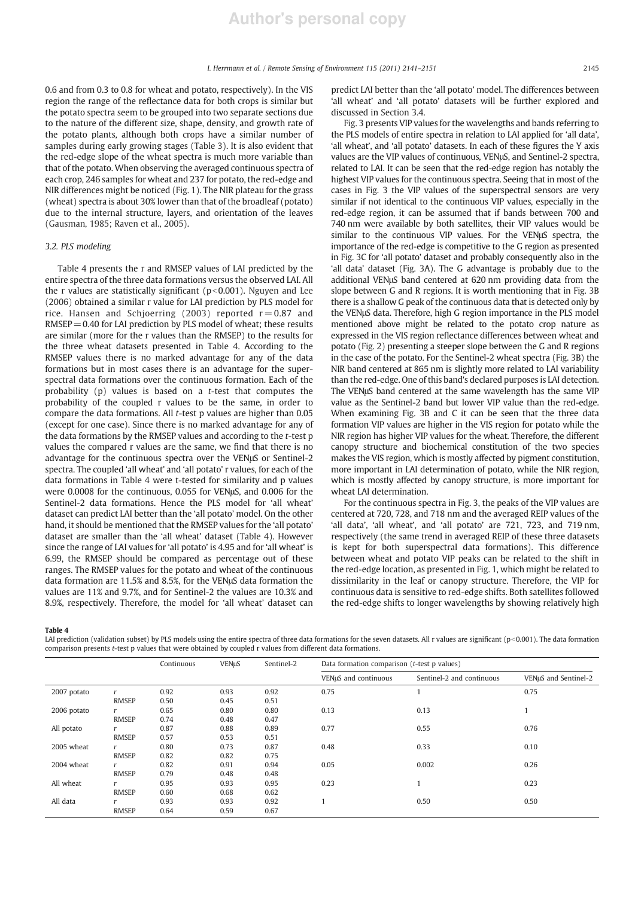0.6 and from 0.3 to 0.8 for wheat and potato, respectively). In the VIS region the range of the reflectance data for both crops is similar but the potato spectra seem to be grouped into two separate sections due to the nature of the different size, shape, density, and growth rate of the potato plants, although both crops have a similar number of samples during early growing stages (Table 3). It is also evident that the red-edge slope of the wheat spectra is much more variable than that of the potato. When observing the averaged continuous spectra of each crop, 246 samples for wheat and 237 for potato, the red-edge and NIR differences might be noticed (Fig. 1). The NIR plateau for the grass (wheat) spectra is about 30% lower than that of the broadleaf (potato) due to the internal structure, layers, and orientation of the leaves (Gausman, 1985; Raven et al., 2005).

# *3.2. PLS modeling*

Table 4 presents the r and RMSEP values of LAI predicted by the entire spectra of the three data formations versus the observed LAI. All the r values are statistically significant ( $p<0.001$ ). Nguyen and Lee (2006) obtained a similar r value for LAI prediction by PLS model for rice. Hansen and Schjoerring (2003) reported  $r = 0.87$  and  $RMSEP = 0.40$  for LAI prediction by PLS model of wheat; these results are similar (more for the r values than the RMSEP) to the results for the three wheat datasets presented in Table 4. According to the RMSEP values there is no marked advantage for any of the data formations but in most cases there is an advantage for the superspectral data formations over the continuous formation. Each of the probability (p) values is based on a *t*-test that computes the probability of the coupled r values to be the same, in order to compare the data formations. All *t*-test p values are higher than 0.05 (except for one case). Since there is no marked advantage for any of the data formations by the RMSEP values and according to the *t*-test p values the compared r values are the same, we find that there is no advantage for the continuous spectra over the VENμS or Sentinel-2 spectra. The coupled 'all wheat' and 'all potato' r values, for each of the data formations in Table 4 were t-tested for similarity and p values were 0.0008 for the continuous, 0.055 for VENμS, and 0.006 for the Sentinel-2 data formations. Hence the PLS model for 'all wheat' dataset can predict LAI better than the 'all potato' model. On the other hand, it should be mentioned that the RMSEP values for the 'all potato' dataset are smaller than the 'all wheat' dataset (Table 4). However since the range of LAI values for 'all potato' is 4.95 and for 'all wheat' is 6.99, the RMSEP should be compared as percentage out of these ranges. The RMSEP values for the potato and wheat of the continuous data formation are 11.5% and 8.5%, for the VENμS data formation the values are 11% and 9.7%, and for Sentinel-2 the values are 10.3% and 8.9%, respectively. Therefore, the model for 'all wheat' dataset can

predict LAI better than the 'all potato' model. The differences between 'all wheat' and 'all potato' datasets will be further explored and discussed in Section 3.4.

Fig. 3 presents VIP values for the wavelengths and bands referring to the PLS models of entire spectra in relation to LAI applied for 'all data', 'all wheat', and 'all potato' datasets. In each of these figures the Y axis values are the VIP values of continuous, VENμS, and Sentinel-2 spectra, related to LAI. It can be seen that the red-edge region has notably the highest VIP values for the continuous spectra. Seeing that in most of the cases in Fig. 3 the VIP values of the superspectral sensors are very similar if not identical to the continuous VIP values, especially in the red-edge region, it can be assumed that if bands between 700 and 740 nm were available by both satellites, their VIP values would be similar to the continuous VIP values. For the VENμS spectra, the importance of the red-edge is competitive to the G region as presented in Fig. 3C for 'all potato' dataset and probably consequently also in the 'all data' dataset (Fig. 3A). The G advantage is probably due to the additional VENμS band centered at 620 nm providing data from the slope between G and R regions. It is worth mentioning that in Fig. 3B there is a shallow G peak of the continuous data that is detected only by the VENμS data. Therefore, high G region importance in the PLS model mentioned above might be related to the potato crop nature as expressed in the VIS region reflectance differences between wheat and potato (Fig. 2) presenting a steeper slope between the G and R regions in the case of the potato. For the Sentinel-2 wheat spectra (Fig. 3B) the NIR band centered at 865 nm is slightly more related to LAI variability than the red-edge. One of this band's declared purposes is LAI detection. The VENμS band centered at the same wavelength has the same VIP value as the Sentinel-2 band but lower VIP value than the red-edge. When examining Fig. 3B and C it can be seen that the three data formation VIP values are higher in the VIS region for potato while the NIR region has higher VIP values for the wheat. Therefore, the different canopy structure and biochemical constitution of the two species makes the VIS region, which is mostly affected by pigment constitution, more important in LAI determination of potato, while the NIR region, which is mostly affected by canopy structure, is more important for wheat LAI determination.

For the continuous spectra in Fig. 3, the peaks of the VIP values are centered at 720, 728, and 718 nm and the averaged REIP values of the 'all data', 'all wheat', and 'all potato' are 721, 723, and 719 nm, respectively (the same trend in averaged REIP of these three datasets is kept for both superspectral data formations). This difference between wheat and potato VIP peaks can be related to the shift in the red-edge location, as presented in Fig. 1, which might be related to dissimilarity in the leaf or canopy structure. Therefore, the VIP for continuous data is sensitive to red-edge shifts. Both satellites followed the red-edge shifts to longer wavelengths by showing relatively high

Table 4

LAI prediction (validation subset) by PLS models using the entire spectra of three data formations for the seven datasets. All r values are significant (p<0.001). The data formation comparison presents *t*-test p values that were obtained by coupled r values from different data formations.

|             |              | Continuous | <b>VENuS</b> | Sentinel-2 | Data formation comparison (t-test p values) |                           |                      |  |  |
|-------------|--------------|------------|--------------|------------|---------------------------------------------|---------------------------|----------------------|--|--|
|             |              |            |              |            | VENµS and continuous                        | Sentinel-2 and continuous | VENuS and Sentinel-2 |  |  |
| 2007 potato |              | 0.92       | 0.93         | 0.92       | 0.75                                        |                           | 0.75                 |  |  |
|             | <b>RMSEP</b> | 0.50       | 0.45         | 0.51       |                                             |                           |                      |  |  |
| 2006 potato |              | 0.65       | 0.80         | 0.80       | 0.13                                        | 0.13                      |                      |  |  |
|             | <b>RMSEP</b> | 0.74       | 0.48         | 0.47       |                                             |                           |                      |  |  |
| All potato  |              | 0.87       | 0.88         | 0.89       | 0.77                                        | 0.55                      | 0.76                 |  |  |
|             | <b>RMSEP</b> | 0.57       | 0.53         | 0.51       |                                             |                           |                      |  |  |
| 2005 wheat  | r            | 0.80       | 0.73         | 0.87       | 0.48                                        | 0.33                      | 0.10                 |  |  |
|             | <b>RMSEP</b> | 0.82       | 0.82         | 0.75       |                                             |                           |                      |  |  |
| 2004 wheat  |              | 0.82       | 0.91         | 0.94       | 0.05                                        | 0.002                     | 0.26                 |  |  |
|             | <b>RMSEP</b> | 0.79       | 0.48         | 0.48       |                                             |                           |                      |  |  |
| All wheat   | r            | 0.95       | 0.93         | 0.95       | 0.23                                        |                           | 0.23                 |  |  |
|             | <b>RMSEP</b> | 0.60       | 0.68         | 0.62       |                                             |                           |                      |  |  |
| All data    |              | 0.93       | 0.93         | 0.92       |                                             | 0.50                      | 0.50                 |  |  |
|             | <b>RMSEP</b> | 0.64       | 0.59         | 0.67       |                                             |                           |                      |  |  |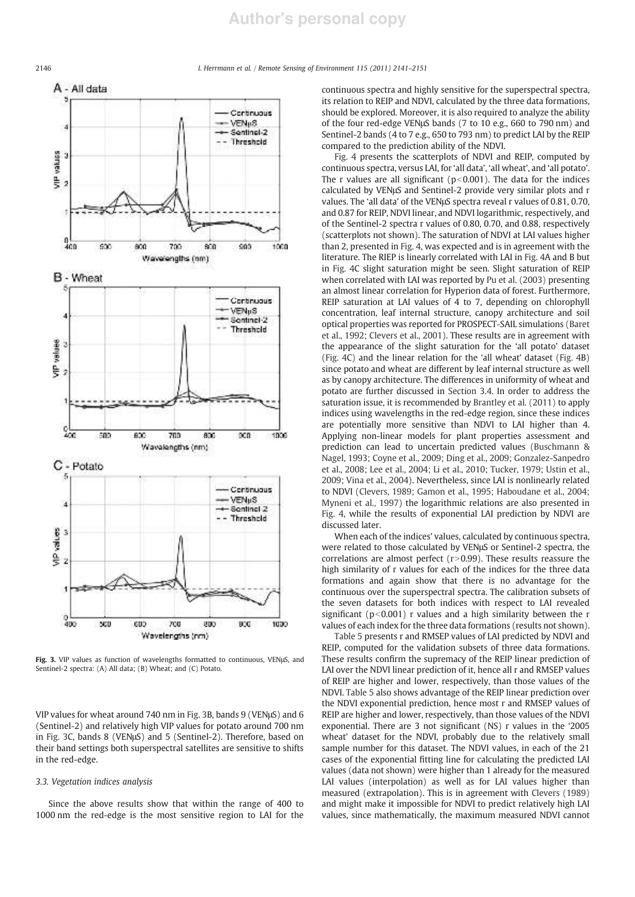2146 *I. Herrmann et al. / Remote Sensing of Environment 115 (2011) 2141*–*2151*



Fig. 3. VIP values as function of wavelengths formatted to continuous, VENμS, and Sentinel-2 spectra: (A) All data; (B) Wheat; and (C) Potato.

VIP values for wheat around 740 nm in Fig. 3B, bands 9 (VENμS) and 6 (Sentinel-2) and relatively high VIP values for potato around 700 nm in Fig. 3C, bands 8 (VENμS) and 5 (Sentinel-2). Therefore, based on their band settings both superspectral satellites are sensitive to shifts in the red-edge.

# *3.3. Vegetation indices analysis*

Since the above results show that within the range of 400 to 1000 nm the red-edge is the most sensitive region to LAI for the continuous spectra and highly sensitive for the superspectral spectra, its relation to REIP and NDVI, calculated by the three data formations, should be explored. Moreover, it is also required to analyze the ability of the four red-edge VENμS bands (7 to 10 e.g., 660 to 790 nm) and Sentinel-2 bands (4 to 7 e.g., 650 to 793 nm) to predict LAI by the REIP compared to the prediction ability of the NDVI.

Fig. 4 presents the scatterplots of NDVI and REIP, computed by continuous spectra, versus LAI, for 'all data', 'all wheat', and 'all potato'. The r values are all significant ( $p<0.001$ ). The data for the indices calculated by VENμS and Sentinel-2 provide very similar plots and r values. The 'all data' of the VENμS spectra reveal r values of 0.81, 0.70, and 0.87 for REIP, NDVI linear, and NDVI logarithmic, respectively, and of the Sentinel-2 spectra r values of 0.80, 0.70, and 0.88, respectively (scatterplots not shown). The saturation of NDVI at LAI values higher than 2, presented in Fig. 4, was expected and is in agreement with the literature. The RIEP is linearly correlated with LAI in Fig. 4A and B but in Fig. 4C slight saturation might be seen. Slight saturation of REIP when correlated with LAI was reported by Pu et al. (2003) presenting an almost linear correlation for Hyperion data of forest. Furthermore, REIP saturation at LAI values of 4 to 7, depending on chlorophyll concentration, leaf internal structure, canopy architecture and soil optical properties was reported for PROSPECT-SAIL simulations (Baret et al., 1992; Clevers et al., 2001). These results are in agreement with the appearance of the slight saturation for the 'all potato' dataset (Fig. 4C) and the linear relation for the 'all wheat' dataset (Fig. 4B) since potato and wheat are different by leaf internal structure as well as by canopy architecture. The differences in uniformity of wheat and potato are further discussed in Section 3.4. In order to address the saturation issue, it is recommended by Brantley et al. (2011) to apply indices using wavelengths in the red-edge region, since these indices are potentially more sensitive than NDVI to LAI higher than 4. Applying non-linear models for plant properties assessment and prediction can lead to uncertain predicted values (Buschmann & Nagel, 1993; Coyne et al., 2009; Ding et al., 2009; Gonzalez-Sanpedro et al., 2008; Lee et al., 2004; Li et al., 2010; Tucker, 1979; Ustin et al., 2009; Vina et al., 2004). Nevertheless, since LAI is nonlinearly related to NDVI (Clevers, 1989; Gamon et al., 1995; Haboudane et al., 2004; Myneni et al., 1997) the logarithmic relations are also presented in Fig. 4, while the results of exponential LAI prediction by NDVI are discussed later.

When each of the indices' values, calculated by continuous spectra, were related to those calculated by VENμS or Sentinel-2 spectra, the correlations are almost perfect ( $r > 0.99$ ). These results reassure the high similarity of r values for each of the indices for the three data formations and again show that there is no advantage for the continuous over the superspectral spectra. The calibration subsets of the seven datasets for both indices with respect to LAI revealed significant ( $p<0.001$ ) r values and a high similarity between the r values of each index for the three data formations (results not shown).

Table 5 presents r and RMSEP values of LAI predicted by NDVI and REIP, computed for the validation subsets of three data formations. These results confirm the supremacy of the REIP linear prediction of LAI over the NDVI linear prediction of it, hence all r and RMSEP values of REIP are higher and lower, respectively, than those values of the NDVI. Table 5 also shows advantage of the REIP linear prediction over the NDVI exponential prediction, hence most r and RMSEP values of REIP are higher and lower, respectively, than those values of the NDVI exponential. There are 3 not significant (NS) r values in the '2005 wheat' dataset for the NDVI, probably due to the relatively small sample number for this dataset. The NDVI values, in each of the 21 cases of the exponential fitting line for calculating the predicted LAI values (data not shown) were higher than 1 already for the measured LAI values (interpolation) as well as for LAI values higher than measured (extrapolation). This is in agreement with Clevers (1989) and might make it impossible for NDVI to predict relatively high LAI values, since mathematically, the maximum measured NDVI cannot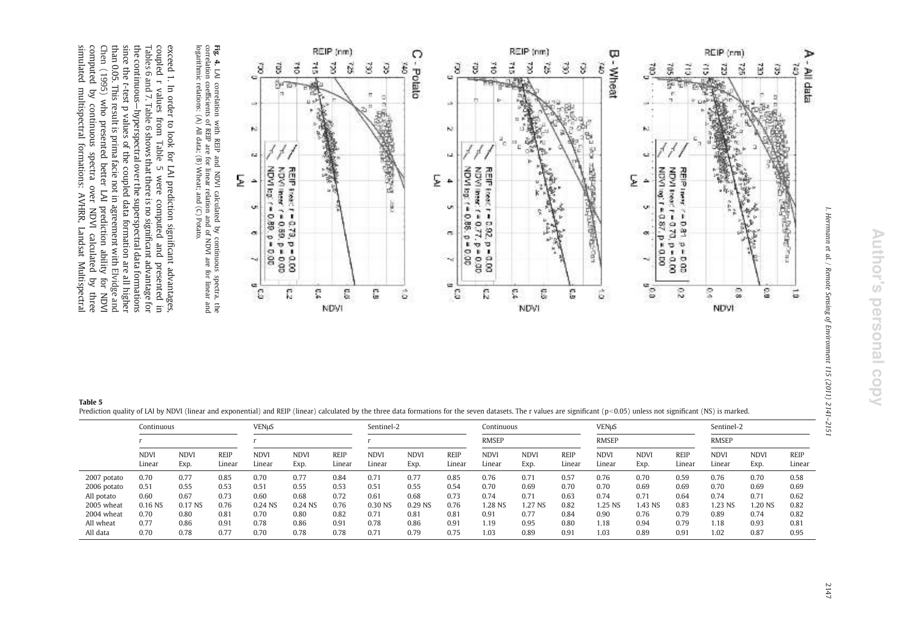I. Herrmann et al. / Remote Sensing of Environment 115 (2011) 2141-2151



**Fig.** 4. LAI correlation with REIP and NDVI calculated by continuous spectra, the correlation coefficients of REIP are for linear relation and of NDVI are for linear and logarithmic relations: (A) All data; (B) Wheat; an LAI correlation with REIP and NDVI calculated by continuous spectra, the correlation coefficients of REIP are for linear relation and of NDVI are for linear and logarithmic relations: (A) All data; (B) Wheat; and (C) Potato.

simulated multispectral formations: AVHRR, Landsat Multispectra Chen (1995) who presented better LAI prediction ability for NDVI<br>computed by continuous spectra over NDVI calculated by three the continuous—hyperspectral over the superspectral data formations<br>since the t-test p values of the coupled data formation are all higher<br>than 0.05. This result is prima facie not in agreement with Elvidge and<br>than 0.05. exceed 1. In order to look for LAI prediction significant advantages, coupled r values from Table 5 were computed and presented in simulated multispectral formations: AVHRR, Landsat Multispectral computed by continuous spectra over NDVI calculated by three Chen (1995) than 0.05. This result is prima facie not in agreement with the continuous Tables 6 and 7 coupled r values from exceed 1. In order to look for LAI prediction signi *t*-test p values of the coupled data formation are all higher who presented better LAI prediction ability for NDVI . Table 6 —hyperspectral over the superspectral data formations shows that there is no signi were computed and presented in ficant advantage for ficant advantages, Elvidge and

| Table 5                                                                                                                                                                                                                    |  |
|----------------------------------------------------------------------------------------------------------------------------------------------------------------------------------------------------------------------------|--|
| Prediction quality of LAI by NDVI (linear and exponential) and REIP (linear) calculated by the three data formations for the seven datasets. The r values are significant (p < 0.05) unless not significant (NS) is marked |  |

|             | <b>VENuS</b><br>Continuous |                    |                |                       |                     |                       | Sentinel-2            |                     |                       | Continuous            |                    |                | <b>VENuS</b>          |                     |                       | Sentinel-2            |                     |                       |
|-------------|----------------------------|--------------------|----------------|-----------------------|---------------------|-----------------------|-----------------------|---------------------|-----------------------|-----------------------|--------------------|----------------|-----------------------|---------------------|-----------------------|-----------------------|---------------------|-----------------------|
|             |                            |                    |                |                       |                     |                       | <b>RMSEP</b>          |                     |                       | <b>RMSEP</b>          |                    |                | <b>RMSEP</b>          |                     |                       |                       |                     |                       |
|             | <b>NDVI</b><br>Linear      | <b>NDV</b><br>Exp. | REIP<br>Linear | <b>NDVI</b><br>Linear | <b>NDVI</b><br>Exp. | <b>REIP</b><br>Linear | <b>NDVI</b><br>Linear | <b>NDVI</b><br>Exp. | <b>REIP</b><br>Linear | <b>NDVI</b><br>Linear | <b>NDV</b><br>Exp. | REIP<br>Linear | <b>NDVI</b><br>Linear | <b>NDVI</b><br>Exp. | <b>REIP</b><br>Linear | <b>NDVI</b><br>Linear | <b>NDVI</b><br>Exp. | <b>REIP</b><br>Linear |
| 2007 potato | 0.70                       | 0.77               | 0.85           | 0.70                  | 0.77                | 0.84                  | 0.71                  | 0.77                | 0.85                  | 0.76                  | 0.71               | 0.57           | 0.76                  | 0.70                | 0.59                  | 0.76                  | 0.70                | 0.58                  |
| 2006 potato | 0.51                       | 0.55               | 0.53           | 0.51                  | 0.55                | 0.53                  | 0.51                  | 0.55                | 0.54                  | 0.70                  | 0.69               | 0.70           | 0.70                  | 0.69                | 0.69                  | 0.70                  | 0.69                | 0.69                  |
| All potato  | 0.60                       | 0.67               | 0.73           | 0.60                  | 0.68                | 0.72                  | 0.61                  | 0.68                | 0.73                  | 0.74                  | 0.71               | 0.63           | 0.74                  | 0.71                | 0.64                  | 0.74                  | 0.71                | 0.62                  |
| 2005 wheat  | 0.16 NS                    | 0.17 NS            | 0.76           | 0.24 NS               | 0.24 NS             | 0.76                  | 0.30 NS               | 0.29 NS             | 0.76                  | .28 NS                | 1.27 NS            | 0.82           | 1.25 NS               | 1.43 NS             | 0.83                  | 1.23 NS               | 1.20 NS             | 0.82                  |
| 2004 wheat  | 0.70                       | 0.80               | 0.81           | 0.70                  | 0.80                | 0.82                  | 0.71                  | 0.81                | 0.81                  | 0.91                  | 0.77               | 0.84           | 0.90                  | 0.76                | 0.79                  | 0.89                  | 0.74                | 0.82                  |
| All wheat   | 0.77                       | 0.86               | 0.91           | 0.78                  | 0.86                | 0.91                  | 0.78                  | 0.86                | 0.91                  | 1.19                  | 0.95               | 0.80           | 1.18                  | 0.94                | 0.79                  | 1.18                  | 0.93                | 0.81                  |
| All data    | 0.70                       | 0.78               | 0.77           | 0.70                  | 0.78                | 0.78                  | 0.71                  | 0.79                | 0.75                  | 1.03                  | 0.89               | 0.91           | 1.03                  | 0.89                | 0.91                  | 1.02                  | 0.87                | 0.95                  |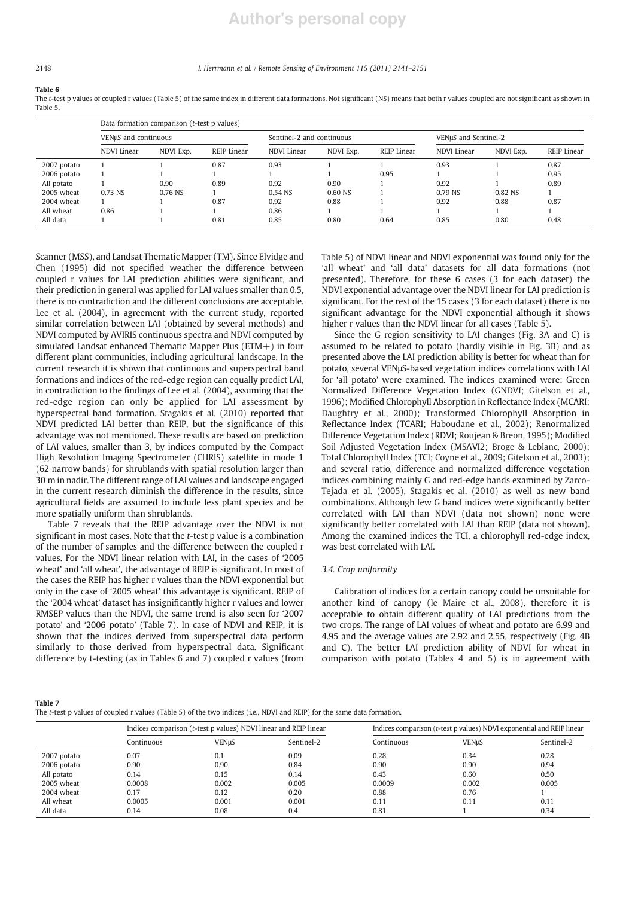# **Author's personal copy**

#### 2148 *I. Herrmann et al. / Remote Sensing of Environment 115 (2011) 2141*–*2151*

Table 6

The *t*-test p values of coupled r values (Table 5) of the same index in different data formations. Not significant (NS) means that both r values coupled are not significant as shown in Table 5.

|             |                      | Data formation comparison (t-test p values) |             |                           |           |             |                      |           |             |  |  |  |  |  |
|-------------|----------------------|---------------------------------------------|-------------|---------------------------|-----------|-------------|----------------------|-----------|-------------|--|--|--|--|--|
|             | VENuS and continuous |                                             |             | Sentinel-2 and continuous |           |             | VENµS and Sentinel-2 |           |             |  |  |  |  |  |
|             | NDVI Linear          | NDVI Exp.                                   | REIP Linear | NDVI Linear               | NDVI Exp. | REIP Linear | <b>NDVI</b> Linear   | NDVI Exp. | REIP Linear |  |  |  |  |  |
| 2007 potato |                      |                                             | 0.87        | 0.93                      |           |             | 0.93                 |           | 0.87        |  |  |  |  |  |
| 2006 potato |                      |                                             |             |                           |           | 0.95        |                      |           | 0.95        |  |  |  |  |  |
| All potato  |                      | 0.90                                        | 0.89        | 0.92                      | 0.90      |             | 0.92                 |           | 0.89        |  |  |  |  |  |
| 2005 wheat  | 0.73 NS              | 0.76 NS                                     |             | 0.54 NS                   | 0.60 NS   |             | $0.79$ NS            | 0.82 NS   |             |  |  |  |  |  |
| 2004 wheat  |                      |                                             | 0.87        | 0.92                      | 0.88      |             | 0.92                 | 0.88      | 0.87        |  |  |  |  |  |
| All wheat   | 0.86                 |                                             |             | 0.86                      |           |             |                      |           |             |  |  |  |  |  |
| All data    |                      |                                             | 0.81        | 0.85                      | 0.80      | 0.64        | 0.85                 | 0.80      | 0.48        |  |  |  |  |  |

Scanner (MSS), and Landsat Thematic Mapper (TM). Since Elvidge and Chen (1995) did not specified weather the difference between coupled r values for LAI prediction abilities were significant, and their prediction in general was applied for LAI values smaller than 0.5, there is no contradiction and the different conclusions are acceptable. Lee et al. (2004), in agreement with the current study, reported similar correlation between LAI (obtained by several methods) and NDVI computed by AVIRIS continuous spectra and NDVI computed by simulated Landsat enhanced Thematic Mapper Plus (ETM+) in four different plant communities, including agricultural landscape. In the current research it is shown that continuous and superspectral band formations and indices of the red-edge region can equally predict LAI, in contradiction to the findings of Lee et al. (2004), assuming that the red-edge region can only be applied for LAI assessment by hyperspectral band formation. Stagakis et al. (2010) reported that NDVI predicted LAI better than REIP, but the significance of this advantage was not mentioned. These results are based on prediction of LAI values, smaller than 3, by indices computed by the Compact High Resolution Imaging Spectrometer (CHRIS) satellite in mode 1 (62 narrow bands) for shrublands with spatial resolution larger than 30 m in nadir. The different range of LAI values and landscape engaged in the current research diminish the difference in the results, since agricultural fields are assumed to include less plant species and be more spatially uniform than shrublands.

Table 7 reveals that the REIP advantage over the NDVI is not significant in most cases. Note that the *t*-test p value is a combination of the number of samples and the difference between the coupled r values. For the NDVI linear relation with LAI, in the cases of '2005 wheat' and 'all wheat', the advantage of REIP is significant. In most of the cases the REIP has higher r values than the NDVI exponential but only in the case of '2005 wheat' this advantage is significant. REIP of the '2004 wheat' dataset has insignificantly higher r values and lower RMSEP values than the NDVI, the same trend is also seen for '2007 potato' and '2006 potato' (Table 7). In case of NDVI and REIP, it is shown that the indices derived from superspectral data perform similarly to those derived from hyperspectral data. Significant difference by t-testing (as in Tables 6 and 7) coupled r values (from

Table 5) of NDVI linear and NDVI exponential was found only for the 'all wheat' and 'all data' datasets for all data formations (not presented). Therefore, for these 6 cases (3 for each dataset) the NDVI exponential advantage over the NDVI linear for LAI prediction is significant. For the rest of the 15 cases (3 for each dataset) there is no significant advantage for the NDVI exponential although it shows higher r values than the NDVI linear for all cases (Table 5).

Since the G region sensitivity to LAI changes (Fig. 3A and C) is assumed to be related to potato (hardly visible in Fig. 3B) and as presented above the LAI prediction ability is better for wheat than for potato, several VENμS-based vegetation indices correlations with LAI for 'all potato' were examined. The indices examined were: Green Normalized Difference Vegetation Index (GNDVI; Gitelson et al., 1996); Modified Chlorophyll Absorption in Reflectance Index (MCARI; Daughtry et al., 2000); Transformed Chlorophyll Absorption in Reflectance Index (TCARI; Haboudane et al., 2002); Renormalized Difference Vegetation Index (RDVI; Roujean & Breon, 1995); Modified Soil Adjusted Vegetation Index (MSAVI2; Broge & Leblanc, 2000); Total Chlorophyll Index (TCI; Coyne et al., 2009; Gitelson et al., 2003); and several ratio, difference and normalized difference vegetation indices combining mainly G and red-edge bands examined by Zarco-Tejada et al. (2005), Stagakis et al. (2010) as well as new band combinations. Although few G band indices were significantly better correlated with LAI than NDVI (data not shown) none were significantly better correlated with LAI than REIP (data not shown). Among the examined indices the TCI, a chlorophyll red-edge index, was best correlated with LAI.

# *3.4. Crop uniformity*

Calibration of indices for a certain canopy could be unsuitable for another kind of canopy (le Maire et al., 2008), therefore it is acceptable to obtain different quality of LAI predictions from the two crops. The range of LAI values of wheat and potato are 6.99 and 4.95 and the average values are 2.92 and 2.55, respectively (Fig. 4B and C). The better LAI prediction ability of NDVI for wheat in comparison with potato (Tables 4 and 5) is in agreement with

#### Table 7

The *t*-test p values of coupled r values (Table 5) of the two indices (i.e., NDVI and REIP) for the same data formation.

|              |            | Indices comparison (t-test p values) NDVI linear and REIP linear |            | Indices comparison (t-test p values) NDVI exponential and REIP linear |              |            |  |  |  |
|--------------|------------|------------------------------------------------------------------|------------|-----------------------------------------------------------------------|--------------|------------|--|--|--|
|              | Continuous | <b>VENuS</b>                                                     | Sentinel-2 | Continuous                                                            | <b>VENuS</b> | Sentinel-2 |  |  |  |
| 2007 potato  | 0.07       | 0.1                                                              | 0.09       | 0.28                                                                  | 0.34         | 0.28       |  |  |  |
| 2006 potato  | 0.90       | 0.90                                                             | 0.84       | 0.90                                                                  | 0.90         | 0.94       |  |  |  |
| All potato   | 0.14       | 0.15                                                             | 0.14       | 0.43                                                                  | 0.60         | 0.50       |  |  |  |
| 2005 wheat   | 0.0008     | 0.002                                                            | 0.005      | 0.0009                                                                | 0.002        | 0.005      |  |  |  |
| $2004$ wheat | 0.17       | 0.12                                                             | 0.20       | 0.88                                                                  | 0.76         |            |  |  |  |
| All wheat    | 0.0005     | 0.001                                                            | 0.001      | 0.11                                                                  | 0.11         | 0.11       |  |  |  |
| All data     | 0.14       | 0.08                                                             | 0.4        | 0.81                                                                  |              | 0.34       |  |  |  |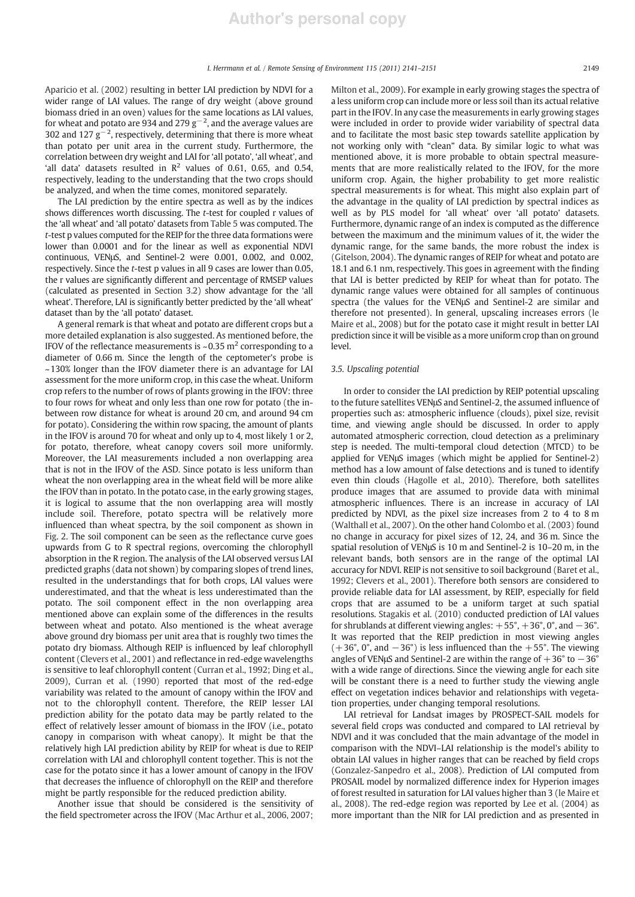Aparicio et al. (2002) resulting in better LAI prediction by NDVI for a wider range of LAI values. The range of dry weight (above ground biomass dried in an oven) values for the same locations as LAI values, for wheat and potato are 934 and 279  $\rm g^{-2}$ , and the average values are 302 and 127  $g^{-2}$ , respectively, determining that there is more wheat than potato per unit area in the current study. Furthermore, the correlation between dry weight and LAI for 'all potato', 'all wheat', and 'all data' datasets resulted in  $\mathbb{R}^2$  values of 0.61, 0.65, and 0.54, respectively, leading to the understanding that the two crops should be analyzed, and when the time comes, monitored separately.

The LAI prediction by the entire spectra as well as by the indices shows differences worth discussing. The *t*-test for coupled r values of the 'all wheat' and 'all potato' datasets from Table 5 was computed. The *t*-test p values computed for the REIP for the three data formations were lower than 0.0001 and for the linear as well as exponential NDVI continuous, VENμS, and Sentinel-2 were 0.001, 0.002, and 0.002, respectively. Since the *t*-test p values in all 9 cases are lower than 0.05, the r values are significantly different and percentage of RMSEP values (calculated as presented in Section 3.2) show advantage for the 'all wheat'. Therefore, LAI is significantly better predicted by the 'all wheat' dataset than by the 'all potato' dataset.

A general remark is that wheat and potato are different crops but a more detailed explanation is also suggested. As mentioned before, the IFOV of the reflectance measurements is ~0.35  $m<sup>2</sup>$  corresponding to a diameter of 0.66 m. Since the length of the ceptometer's probe is ~130% longer than the IFOV diameter there is an advantage for LAI assessment for the more uniform crop, in this case the wheat. Uniform crop refers to the number of rows of plants growing in the IFOV: three to four rows for wheat and only less than one row for potato (the inbetween row distance for wheat is around 20 cm, and around 94 cm for potato). Considering the within row spacing, the amount of plants in the IFOV is around 70 for wheat and only up to 4, most likely 1 or 2, for potato, therefore, wheat canopy covers soil more uniformly. Moreover, the LAI measurements included a non overlapping area that is not in the IFOV of the ASD. Since potato is less uniform than wheat the non overlapping area in the wheat field will be more alike the IFOV than in potato. In the potato case, in the early growing stages, it is logical to assume that the non overlapping area will mostly include soil. Therefore, potato spectra will be relatively more influenced than wheat spectra, by the soil component as shown in Fig. 2. The soil component can be seen as the reflectance curve goes upwards from G to R spectral regions, overcoming the chlorophyll absorption in the R region. The analysis of the LAI observed versus LAI predicted graphs (data not shown) by comparing slopes of trend lines, resulted in the understandings that for both crops, LAI values were underestimated, and that the wheat is less underestimated than the potato. The soil component effect in the non overlapping area mentioned above can explain some of the differences in the results between wheat and potato. Also mentioned is the wheat average above ground dry biomass per unit area that is roughly two times the potato dry biomass. Although REIP is influenced by leaf chlorophyll content (Clevers et al., 2001) and reflectance in red-edge wavelengths is sensitive to leaf chlorophyll content (Curran et al., 1992; Ding et al., 2009), Curran et al. (1990) reported that most of the red-edge variability was related to the amount of canopy within the IFOV and not to the chlorophyll content. Therefore, the REIP lesser LAI prediction ability for the potato data may be partly related to the effect of relatively lesser amount of biomass in the IFOV (i.e., potato canopy in comparison with wheat canopy). It might be that the relatively high LAI prediction ability by REIP for wheat is due to REIP correlation with LAI and chlorophyll content together. This is not the case for the potato since it has a lower amount of canopy in the IFOV that decreases the influence of chlorophyll on the REIP and therefore might be partly responsible for the reduced prediction ability.

Another issue that should be considered is the sensitivity of the field spectrometer across the IFOV (Mac Arthur et al., 2006, 2007; Milton et al., 2009). For example in early growing stages the spectra of a less uniform crop can include more or less soil than its actual relative part in the IFOV. In any case the measurements in early growing stages were included in order to provide wider variability of spectral data and to facilitate the most basic step towards satellite application by not working only with "clean" data. By similar logic to what was mentioned above, it is more probable to obtain spectral measurements that are more realistically related to the IFOV, for the more uniform crop. Again, the higher probability to get more realistic spectral measurements is for wheat. This might also explain part of the advantage in the quality of LAI prediction by spectral indices as well as by PLS model for 'all wheat' over 'all potato' datasets. Furthermore, dynamic range of an index is computed as the difference between the maximum and the minimum values of it, the wider the dynamic range, for the same bands, the more robust the index is (Gitelson, 2004). The dynamic ranges of REIP for wheat and potato are 18.1 and 6.1 nm, respectively. This goes in agreement with the finding that LAI is better predicted by REIP for wheat than for potato. The dynamic range values were obtained for all samples of continuous spectra (the values for the VENμS and Sentinel-2 are similar and therefore not presented). In general, upscaling increases errors (le Maire et al., 2008) but for the potato case it might result in better LAI prediction since it will be visible as a more uniform crop than on ground level.

# *3.5. Upscaling potential*

In order to consider the LAI prediction by REIP potential upscaling to the future satellites VENμS and Sentinel-2, the assumed influence of properties such as: atmospheric influence (clouds), pixel size, revisit time, and viewing angle should be discussed. In order to apply automated atmospheric correction, cloud detection as a preliminary step is needed. The multi-temporal cloud detection (MTCD) to be applied for VENμS images (which might be applied for Sentinel-2) method has a low amount of false detections and is tuned to identify even thin clouds (Hagolle et al., 2010). Therefore, both satellites produce images that are assumed to provide data with minimal atmospheric influences. There is an increase in accuracy of LAI predicted by NDVI, as the pixel size increases from 2 to 4 to 8 m (Walthall et al., 2007). On the other hand Colombo et al. (2003) found no change in accuracy for pixel sizes of 12, 24, and 36 m. Since the spatial resolution of VENμS is 10 m and Sentinel-2 is 10–20 m, in the relevant bands, both sensors are in the range of the optimal LAI accuracy for NDVI. REIP is not sensitive to soil background (Baret et al., 1992; Clevers et al., 2001). Therefore both sensors are considered to provide reliable data for LAI assessment, by REIP, especially for field crops that are assumed to be a uniform target at such spatial resolutions. Stagakis et al. (2010) conducted prediction of LAI values for shrublands at different viewing angles:  $+55^\circ$ ,  $+36^\circ$ , 0°, and  $-36^\circ$ . It was reported that the REIP prediction in most viewing angles  $(+36^{\circ}, 0^{\circ},$  and  $-36^{\circ})$  is less influenced than the  $+55^{\circ}$ . The viewing angles of VENµS and Sentinel-2 are within the range of  $+36^{\circ}$  to  $-36^{\circ}$ with a wide range of directions. Since the viewing angle for each site will be constant there is a need to further study the viewing angle effect on vegetation indices behavior and relationships with vegetation properties, under changing temporal resolutions.

LAI retrieval for Landsat images by PROSPECT-SAIL models for several field crops was conducted and compared to LAI retrieval by NDVI and it was concluded that the main advantage of the model in comparison with the NDVI–LAI relationship is the model's ability to obtain LAI values in higher ranges that can be reached by field crops (Gonzalez-Sanpedro et al., 2008). Prediction of LAI computed from PROSAIL model by normalized difference index for Hyperion images of forest resulted in saturation for LAI values higher than 3 (le Maire et al., 2008). The red-edge region was reported by Lee et al. (2004) as more important than the NIR for LAI prediction and as presented in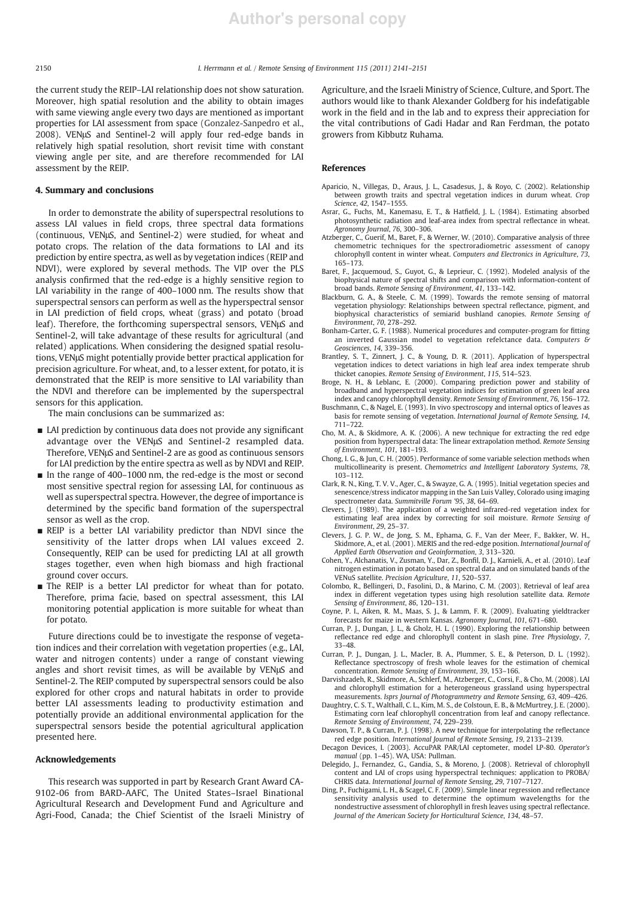the current study the REIP–LAI relationship does not show saturation. Moreover, high spatial resolution and the ability to obtain images with same viewing angle every two days are mentioned as important properties for LAI assessment from space (Gonzalez-Sanpedro et al., 2008). VENμS and Sentinel-2 will apply four red-edge bands in relatively high spatial resolution, short revisit time with constant viewing angle per site, and are therefore recommended for LAI assessment by the REIP.

# 4. Summary and conclusions

In order to demonstrate the ability of superspectral resolutions to assess LAI values in field crops, three spectral data formations (continuous, VENμS, and Sentinel-2) were studied, for wheat and potato crops. The relation of the data formations to LAI and its prediction by entire spectra, as well as by vegetation indices (REIP and NDVI), were explored by several methods. The VIP over the PLS analysis confirmed that the red-edge is a highly sensitive region to LAI variability in the range of 400–1000 nm. The results show that superspectral sensors can perform as well as the hyperspectral sensor in LAI prediction of field crops, wheat (grass) and potato (broad leaf). Therefore, the forthcoming superspectral sensors, VENμS and Sentinel-2, will take advantage of these results for agricultural (and related) applications. When considering the designed spatial resolutions, VENμS might potentially provide better practical application for precision agriculture. For wheat, and, to a lesser extent, for potato, it is demonstrated that the REIP is more sensitive to LAI variability than the NDVI and therefore can be implemented by the superspectral sensors for this application.

The main conclusions can be summarized as:

- LAI prediction by continuous data does not provide any significant advantage over the VENμS and Sentinel-2 resampled data. Therefore, VENμS and Sentinel-2 are as good as continuous sensors for LAI prediction by the entire spectra as well as by NDVI and REIP.
- In the range of 400–1000 nm, the red-edge is the most or second most sensitive spectral region for assessing LAI, for continuous as well as superspectral spectra. However, the degree of importance is determined by the specific band formation of the superspectral sensor as well as the crop.
- REIP is a better LAI variability predictor than NDVI since the sensitivity of the latter drops when LAI values exceed 2. Consequently, REIP can be used for predicting LAI at all growth stages together, even when high biomass and high fractional ground cover occurs.
- The REIP is a better LAI predictor for wheat than for potato. Therefore, prima facie, based on spectral assessment, this LAI monitoring potential application is more suitable for wheat than for potato.

Future directions could be to investigate the response of vegetation indices and their correlation with vegetation properties (e.g., LAI, water and nitrogen contents) under a range of constant viewing angles and short revisit times, as will be available by VENμS and Sentinel-2. The REIP computed by superspectral sensors could be also explored for other crops and natural habitats in order to provide better LAI assessments leading to productivity estimation and potentially provide an additional environmental application for the superspectral sensors beside the potential agricultural application presented here.

### Acknowledgements

This research was supported in part by Research Grant Award CA-9102-06 from BARD-AAFC, The United States–Israel Binational Agricultural Research and Development Fund and Agriculture and Agri-Food, Canada; the Chief Scientist of the Israeli Ministry of Agriculture, and the Israeli Ministry of Science, Culture, and Sport. The authors would like to thank Alexander Goldberg for his indefatigable work in the field and in the lab and to express their appreciation for the vital contributions of Gadi Hadar and Ran Ferdman, the potato growers from Kibbutz Ruhama.

# References

- Aparicio, N., Villegas, D., Araus, J. L., Casadesus, J., & Royo, C. (2002). Relationship between growth traits and spectral vegetation indices in durum wheat. *Crop Science*, *42*, 1547–1555.
- Asrar, G., Fuchs, M., Kanemasu, E. T., & Hatfield, J. L. (1984). Estimating absorbed photosynthetic radiation and leaf-area index from spectral reflectance in wheat. *Agronomy Journal*, *76*, 300–306.
- Atzberger, C., Guerif, M., Baret, F., & Werner, W. (2010). Comparative analysis of three chemometric techniques for the spectroradiometric assessment of canopy chlorophyll content in winter wheat. *Computers and Electronics in Agriculture*, *73*, 165–173.
- Baret, F., Jacquemoud, S., Guyot, G., & Leprieur, C. (1992). Modeled analysis of the biophysical nature of spectral shifts and comparison with information-content of broad bands. *Remote Sensing of Environment*, *41*, 133–142.
- Blackburn, G. A., & Steele, C. M. (1999). Towards the remote sensing of matorral vegetation physiology: Relationships between spectral reflectance, pigment, and biophysical characteristics of semiarid bushland canopies. *Remote Sensing of Environment*, *70*, 278–292.
- Bonham-Carter, G. F. (1988). Numerical procedures and computer-program for fitting an inverted Gaussian model to vegetation refelctance data. *Computers & Geosciences*, *14*, 339–356.
- Brantley, S. T., Zinnert, J. C., & Young, D. R. (2011). Application of hyperspectral vegetation indices to detect variations in high leaf area index temperate shrub thicket canopies. *Remote Sensing of Environment*, *115*, 514–523.
- Broge, N. H., & Leblanc, E. (2000). Comparing prediction power and stability of broadband and hyperspectral vegetation indices for estimation of green leaf area index and canopy chlorophyll density. *Remote Sensing of Environment*, *76*, 156–172.
- Buschmann, C., & Nagel, E. (1993). In vivo spectroscopy and internal optics of leaves as basis for remote sensing of vegetation. *International Journal of Remote Sensing*, *14*, 711–722.
- Cho, M. A., & Skidmore, A. K. (2006). A new technique for extracting the red edge position from hyperspectral data: The linear extrapolation method. *Remote Sensing of Environment*, *101*, 181–193.
- Chong, I. G., & Jun, C. H. (2005). Performance of some variable selection methods when multicollinearity is present. *Chemometrics and Intelligent Laboratory Systems*, *78*, 103–112.
- Clark, R. N., King, T. V. V., Ager, C., & Swayze, G. A. (1995). Initial vegetation species and senescence/stress indicator mapping in the San Luis Valley, Colorado using imaging spectrometer data. *Summitville Forum '95*, *38*, 64–69.
- Clevers, J. (1989). The application of a weighted infrared-red vegetation index for estimating leaf area index by correcting for soil moisture. *Remote Sensing of Environment*, *29*, 25–37.
- Clevers, J. G. P. W., de Jong, S. M., Ephama, G. F., Van der Meer, F., Bakker, W. H., Skidmore, A., et al. (2001). MERIS and the red-edge position. *International Journal of Applied Earth Observation and Geoinformation*, *3*, 313–320.
- Cohen, Y., Alchanatis, V., Zusman, Y., Dar, Z., Bonfil, D. J., Karnieli, A., et al. (2010). Leaf nitrogen estimation in potato based on spectral data and on simulated bands of the VENuS satellite. *Precision Agriculture*, *11*, 520–537.
- Colombo, R., Bellingeri, D., Fasolini, D., & Marino, C. M. (2003). Retrieval of leaf area index in different vegetation types using high resolution satellite data. *Remote Sensing of Environment*, *86*, 120–131.
- Coyne, P. I., Aiken, R. M., Maas, S. J., & Lamm, F. R. (2009). Evaluating yieldtracker forecasts for maize in western Kansas. *Agronomy Journal*, *101*, 671–680. Curran, P. J., Dungan, J. L., & Gholz, H. L. (1990). Exploring the relationship between
- reflectance red edge and chlorophyll content in slash pine. *Tree Physiology*, *7*, 33–48.
- Curran, P. J., Dungan, J. L., Macler, B. A., Plummer, S. E., & Peterson, D. L. (1992). Reflectance spectroscopy of fresh whole leaves for the estimation of chemical concentration. *Remote Sensing of Environment*, *39*, 153–166.
- Darvishzadeh, R., Skidmore, A., Schlerf, M., Atzberger, C., Corsi, F., & Cho, M. (2008). LAI and chlorophyll estimation for a heterogeneous grassland using hyperspectral measurements. *Isprs Journal of Photogrammetry and Remote Sensing*, *63*, 409–426.
- Daughtry, C. S. T., Walthall, C. L., Kim, M. S., de Colstoun, E. B., & McMurtrey, J. E. (2000). Estimating corn leaf chlorophyll concentration from leaf and canopy reflectance. *Remote Sensing of Environment*, *74*, 229–239.
- Dawson, T. P., & Curran, P. J. (1998). A new technique for interpolating the reflectance red edge position. *International Journal of Remote Sensing*, *19*, 2133–2139.
- Decagon Devices, I. (2003). AccuPAR PAR/LAI ceptometer, model LP-80. *Operator's manual* (pp. 1–45). WA, USA: Pullman.
- Delegido, J., Fernandez, G., Gandia, S., & Moreno, J. (2008). Retrieval of chlorophyll content and LAI of crops using hyperspectral techniques: application to PROBA/ CHRIS data. *International Journal of Remote Sensing*, *29*, 7107–7127.
- Ding, P., Fuchigami, L. H., & Scagel, C. F. (2009). Simple linear regression and reflectance sensitivity analysis used to determine the optimum wavelengths for the nondestructive assessment of chlorophyll in fresh leaves using spectral reflectance. *Journal of the American Society for Horticultural Science*, *134*, 48–57.